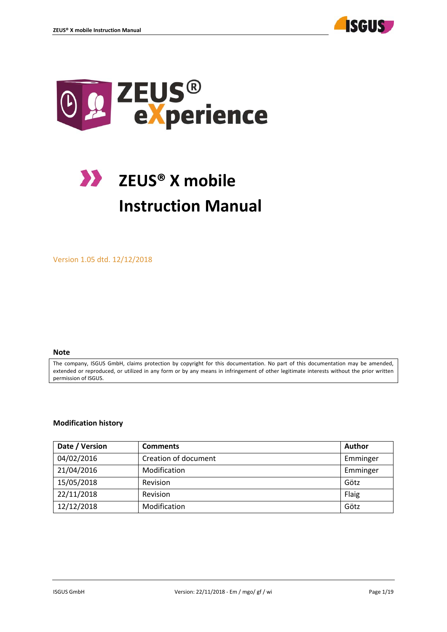



# **ZEUS® X mobile Instruction Manual**

Version 1.05 dtd. 12/12/2018

#### **Note**

The company, ISGUS GmbH, claims protection by copyright for this documentation. No part of this documentation may be amended, extended or reproduced, or utilized in any form or by any means in infringement of other legitimate interests without the prior written permission of ISGUS.

#### **Modification history**

| Date / Version | <b>Comments</b>      | Author   |
|----------------|----------------------|----------|
| 04/02/2016     | Creation of document | Emminger |
| 21/04/2016     | Modification         | Emminger |
| 15/05/2018     | Revision             | Götz     |
| 22/11/2018     | Revision             | Flaig    |
| 12/12/2018     | Modification         | Götz     |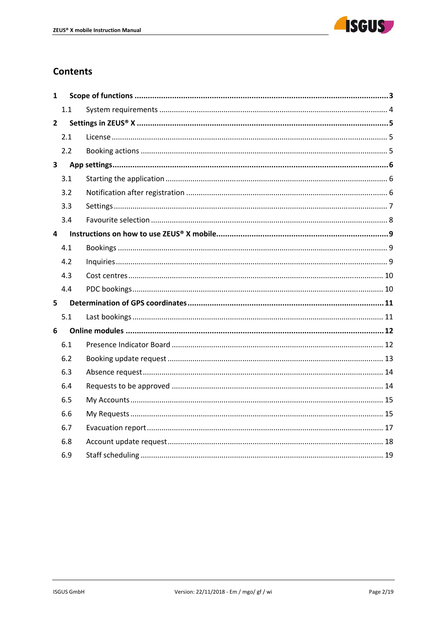

# **Contents**

| 1                       |     |  |
|-------------------------|-----|--|
|                         | 1.1 |  |
| $\overline{2}$          |     |  |
|                         | 2.1 |  |
|                         | 2.2 |  |
| $\overline{\mathbf{3}}$ |     |  |
|                         | 3.1 |  |
|                         | 3.2 |  |
|                         | 3.3 |  |
|                         | 3.4 |  |
| 4                       |     |  |
|                         | 4.1 |  |
|                         | 4.2 |  |
|                         | 4.3 |  |
|                         | 4.4 |  |
| 5 <sup>1</sup>          |     |  |
|                         | 5.1 |  |
| 6                       |     |  |
|                         | 6.1 |  |
|                         | 6.2 |  |
|                         | 6.3 |  |
|                         | 6.4 |  |
|                         | 6.5 |  |
|                         | 6.6 |  |
|                         | 6.7 |  |
|                         | 6.8 |  |
|                         | 6.9 |  |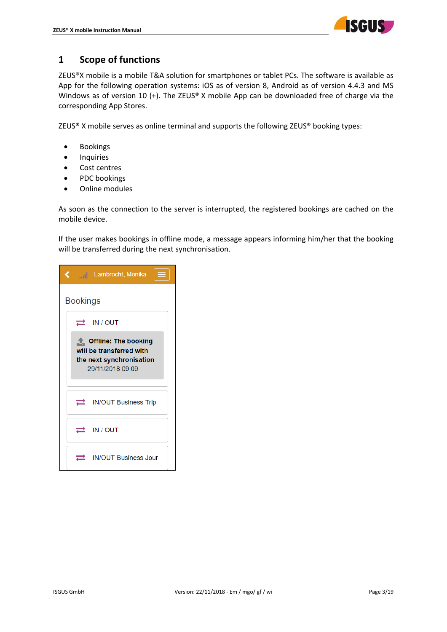

# **1 Scope of functions**

ZEUS®X mobile is a mobile T&A solution for smartphones or tablet PCs. The software is available as App for the following operation systems: iOS as of version 8, Android as of version 4.4.3 and MS Windows as of version 10 (+). The ZEUS® X mobile App can be downloaded free of charge via the corresponding App Stores.

ZEUS® X mobile serves as online terminal and supports the following ZEUS® booking types:

- **•** Bookings
- **•** Inquiries
- Cost centres
- PDC bookings
- Online modules

As soon as the connection to the server is interrupted, the registered bookings are cached on the mobile device.

If the user makes bookings in offline mode, a message appears informing him/her that the booking will be transferred during the next synchronisation.

|                 | Lambrecht, Monika                                                                                |
|-----------------|--------------------------------------------------------------------------------------------------|
| <b>Bookings</b> |                                                                                                  |
|                 | IN / OUT                                                                                         |
|                 | Cffline: The booking<br>will be transferred with<br>the next synchronisation<br>29/11/2018 09:09 |
|                 | <b>IN/OUT Business Trip</b>                                                                      |
|                 | IN / OUT                                                                                         |
|                 | <b>IN/OUT Business Jour</b>                                                                      |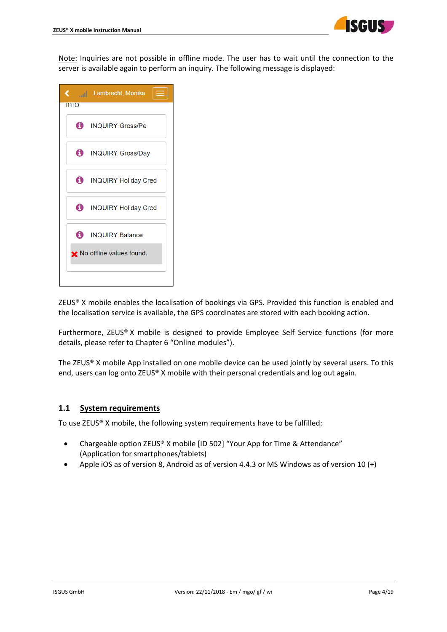

Note: Inquiries are not possible in offline mode. The user has to wait until the connection to the server is available again to perform an inquiry. The following message is displayed:

|             | く <sub>arti</sub> j Lambrecht, Monika i |
|-------------|-----------------------------------------|
| <b>INTO</b> |                                         |
|             | <b>C</b> INQUIRY Gross/Pe               |
|             | <b>D</b> INQUIRY Gross/Day              |
|             | <b>D</b> INQUIRY Holiday Cred           |
|             | <b>D</b> INQUIRY Holiday Cred           |
|             | <b>6</b> INQUIRY Balance                |
|             | ★ No offline values found.              |
|             |                                         |

ZEUS® X mobile enables the localisation of bookings via GPS. Provided this function is enabled and the localisation service is available, the GPS coordinates are stored with each booking action.

Furthermore, ZEUS® X mobile is designed to provide Employee Self Service functions (for more details, please refer to Chapter 6 "Online modules").

The ZEUS® X mobile App installed on one mobile device can be used jointly by several users. To this end, users can log onto ZEUS® X mobile with their personal credentials and log out again.

#### **1.1 System requirements**

To use ZEUS® X mobile, the following system requirements have to be fulfilled:

- Chargeable option ZEUS® X mobile [ID 502] "Your App for Time & Attendance" (Application for smartphones/tablets)
- Apple iOS as of version 8, Android as of version 4.4.3 or MS Windows as of version 10 (+)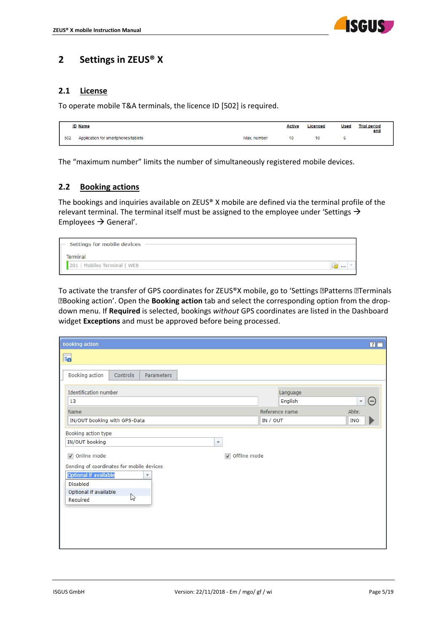

# **2 Settings in ZEUS® X**

## **2.1 License**

To operate mobile T&A terminals, the licence ID [502] is required.

|     | <b>ID Name</b>                      |             | <b>Active</b> | Licenced | <b>Used</b> | <b>Trial period</b><br>end |
|-----|-------------------------------------|-------------|---------------|----------|-------------|----------------------------|
| 502 | Application for smartphones/tablets | Max. number | 10            | 10       |             |                            |

The "maximum number" limits the number of simultaneously registered mobile devices.

## **2.2 Booking actions**

The bookings and inquiries available on ZEUS® X mobile are defined via the terminal profile of the relevant terminal. The terminal itself must be assigned to the employee under 'Settings  $\rightarrow$ Employees  $\rightarrow$  General'.

| $\blacksquare$ Settings for mobile devices |  |
|--------------------------------------------|--|
| Terminal                                   |  |
| 201   Mobiles Terminal   WEB               |  |

To activate the transfer of GPS coordinates for ZEUS®X mobile, go to 'Settings **Patterns PTerminals** Booking action'. Open the **Booking action** tab and select the corresponding option from the drop‐ down menu. If **Required** is selected, bookings *without* GPS coordinates are listed in the Dashboard widget **Exceptions** and must be approved before being processed.

| <b>Booking action</b>                                                                                                                       |                | $\overline{P}$                   |
|---------------------------------------------------------------------------------------------------------------------------------------------|----------------|----------------------------------|
| 50                                                                                                                                          |                |                                  |
| Booking action<br>Controls<br>Parameters                                                                                                    |                |                                  |
| <b>Identification</b> number                                                                                                                | Language       |                                  |
| 13                                                                                                                                          | English        | $\overline{\phantom{a}}$<br>$(-$ |
| Name                                                                                                                                        | Reference name | Abbr.                            |
| IN/OUT booking with GPS-Data                                                                                                                | IN / OUT       | <b>INO</b>                       |
| IN/OUT booking<br>$\overline{\phantom{a}}$<br>Online mode<br>Sending of coordinates for mobile devices<br><b>Optional if available</b><br>٠ | Offline mode   |                                  |
| <b>Disabled</b><br>Optional if available<br>$\mathbb{Z}$<br>Required                                                                        |                |                                  |
|                                                                                                                                             |                |                                  |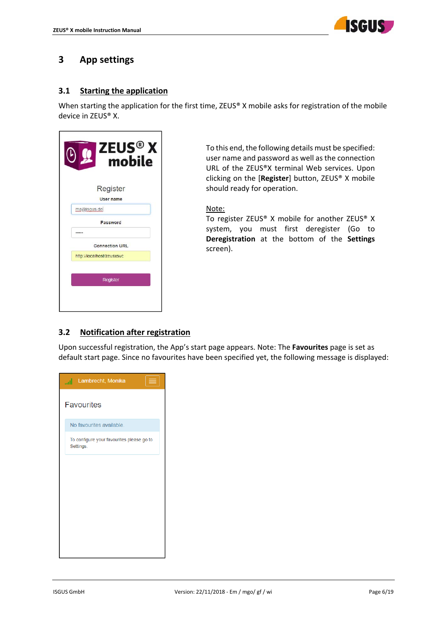

# **3 App settings**

## **3.1 Starting the application**

When starting the application for the first time, ZEUS® X mobile asks for registration of the mobile device in ZEUS® X.

| ZEUS <sup>®</sup> X<br>mobile |
|-------------------------------|
| Register                      |
| <b>User name</b>              |
| ma@isqus.de                   |
| Password                      |
|                               |
| <b>Connection URL</b>         |
| http://localhost/zeusxsvc     |
| Register                      |
|                               |
|                               |

To this end, the following details must be specified: user name and password as well as the connection URL of the ZEUS®X terminal Web services. Upon clicking on the [**Register**] button, ZEUS® X mobile should ready for operation.

#### Note:

To register ZEUS® X mobile for another ZEUS® X system, you must first deregister (Go to **Deregistration** at the bottom of the **Settings** screen).

## **3.2 Notification after registration**

Upon successful registration, the App's start page appears. Note: The **Favourites** page is set as default start page. Since no favourites have been specified yet, the following message is displayed:

| <b>And Lambrecht</b> , Monika                          |
|--------------------------------------------------------|
| <b>Favourites</b>                                      |
| No favourites available.                               |
| To configure your favourites please go to<br>Settings. |
|                                                        |
|                                                        |
|                                                        |
|                                                        |
|                                                        |
|                                                        |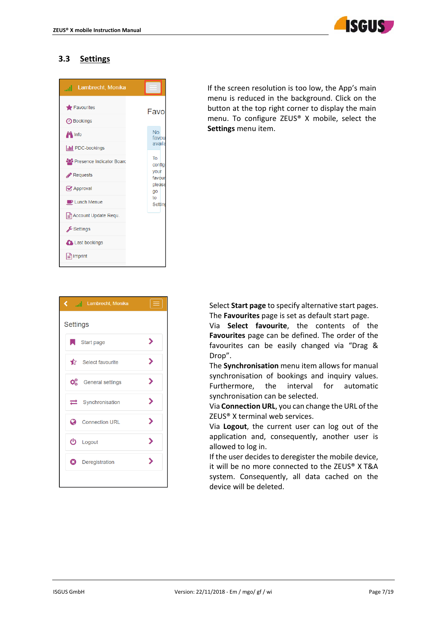

## **3.3 Settings**

| Lambrecht, Monika<br>.al                  |                                |
|-------------------------------------------|--------------------------------|
| Favourites<br><b>4</b> Bookings           | Favo                           |
| <b>PL</b> Info<br><b>III</b> PDC-bookings | <b>No</b><br>favou<br>availa   |
| Presence Indicator Board                  | To<br>config                   |
| Requests<br>Approval                      | your<br>favour<br>please<br>go |
| <b>D</b> Lunch Menue                      | to<br>Settino                  |
| e Account Update Requ.<br>Settings        |                                |
| Last bookings                             |                                |
| ≞ੀ Imprint                                |                                |

If the screen resolution is too low, the App's main menu is reduced in the background. Click on the button at the top right corner to display the main menu. To configure ZEUS® X mobile, select the **Settings** menu item.



Select **Start page** to specify alternative start pages. The **Favourites** page is set as default start page.

Via **Select favourite**, the contents of the **Favourites** page can be defined. The order of the favourites can be easily changed via "Drag & Drop".

The **Synchronisation** menu item allows for manual synchronisation of bookings and inquiry values. Furthermore, the interval for automatic synchronisation can be selected.

Via **Connection URL**, you can change the URL of the ZEUS® X terminal web services.

Via **Logout**, the current user can log out of the application and, consequently, another user is allowed to log in.

If the user decides to deregister the mobile device, it will be no more connected to the ZEUS® X T&A system. Consequently, all data cached on the device will be deleted.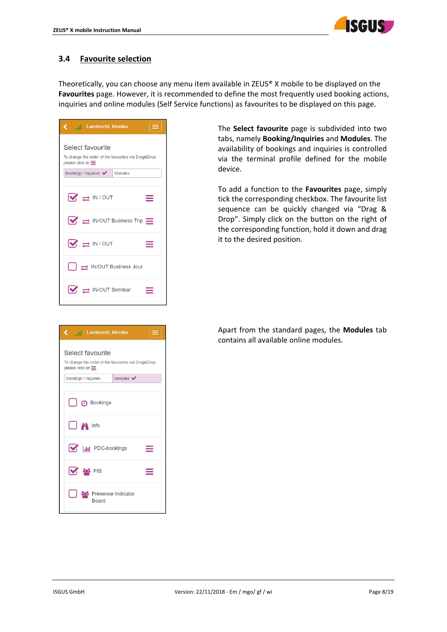

## **3.4 Favourite selection**

Theoretically, you can choose any menu item available in ZEUS® X mobile to be displayed on the **Favourites** page. However, it is recommended to define the most frequently used booking actions, inquiries and online modules (Self Service functions) as favourites to be displayed on this page.

| Lambrecht, Monika                                                                                                                     |
|---------------------------------------------------------------------------------------------------------------------------------------|
| Select favourite<br>To change the order of the favourites via Drag&Drop<br>please click on $\equiv$ .<br>Bookings / Inquiries Modules |
|                                                                                                                                       |
| $\sqrt{\Leftrightarrow}$ IN / OUT<br>≡                                                                                                |
| $\boxed{\blacktriangledown}$ $\rightleftharpoons$ IN/OUT Business Trip $\equiv$                                                       |
| $\sqrt{\frac{1}{2}}$ IN / OUT                                                                                                         |
| $\left  \quad \right  \right. \rightleftharpoons$ IN/OUT Business Jour                                                                |
| $\sqrt{ }$ $\Rightarrow$ IN/OUT Seminar                                                                                               |

The **Select favourite** page is subdivided into two tabs, namely **Booking/Inquiries** and **Modules**. The availability of bookings and inquiries is controlled via the terminal profile defined for the mobile device.

To add a function to the **Favourites** page, simply tick the corresponding checkbox. The favourite list sequence can be quickly changed via "Drag & Drop". Simply click on the button on the right of the corresponding function, hold it down and drag it to the desired position.

| Apart from the standard pages, the <b>Modules</b> tab |
|-------------------------------------------------------|
| contains all available online modules.                |
|                                                       |

| $\equiv$<br>and Lambrecht, Monika                                                                   |
|-----------------------------------------------------------------------------------------------------|
| Select favourite<br>To change the order of the favourites via Drag&Drop<br>please click on $\equiv$ |
| Modules $\blacktriangleright$<br>Bookings / Inquiries                                               |
| <b>D</b> Bookings                                                                                   |
| $\Box$ $\ddot{\mathbf{r}}$ Info                                                                     |
| <b>MEDITE PDC-bookings</b>                                                                          |
| S PIB                                                                                               |
| <b>Presence Indicator</b><br><b>Board</b>                                                           |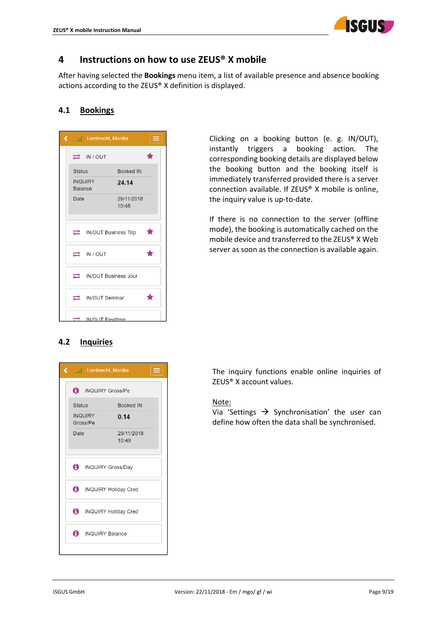

## **4 Instructions on how to use ZEUS® X mobile**

After having selected the **Bookings** menu item, a list of available presence and absence booking actions according to the ZEUS® X definition is displayed.

## **4.1 Bookings**

| く |                | all Lambrecht, Monika           |                                    |   |
|---|----------------|---------------------------------|------------------------------------|---|
|   |                | $\Rightarrow$ IN / OUT          |                                    |   |
|   | <b>Status</b>  |                                 | <b>Booked IN</b>                   |   |
|   | <b>Balance</b> | <b>INQUIRY</b>                  | 24.14                              |   |
|   | Date           |                                 | 29/11/2018<br>10:48                |   |
|   |                |                                 | $\Rightarrow$ IN/OUT Business Trip | Т |
|   |                | $\Rightarrow$ IN / OUT          |                                    |   |
|   |                | $\implies$ IN/OUT Business Jour |                                    |   |
|   |                | <b>IN/OUT Seminar</b>           |                                    |   |
|   |                | IN/OLIT Flexitime               |                                    |   |

## **4.2 Inquiries**



Clicking on a booking button (e. g. IN/OUT), instantly triggers a booking action. The corresponding booking details are displayed below the booking button and the booking itself is immediately transferred provided there is a server connection available. If ZEUS® X mobile is online, the inquiry value is up‐to‐date.

If there is no connection to the server (offline mode), the booking is automatically cached on the mobile device and transferred to the ZEUS® X Web server as soon as the connection is available again.

The inquiry functions enable online inquiries of ZEUS® X account values.

#### Note:

Via 'Settings  $\rightarrow$  Synchronisation' the user can define how often the data shall be synchronised.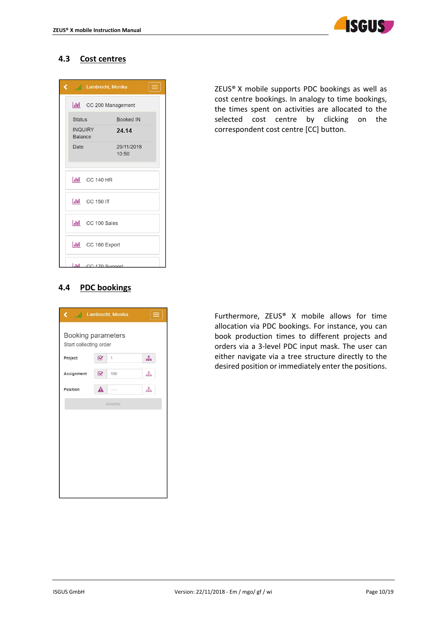

## **4.3 Cost centres**

| Ĉ |                                  | <b>Example 2</b> Lambrecht, Monika |                     | Ξ |
|---|----------------------------------|------------------------------------|---------------------|---|
|   |                                  | lil CC 200 Management              |                     |   |
|   | <b>Status</b>                    |                                    | <b>Booked IN</b>    |   |
|   | <b>INQUIRY</b><br><b>Balance</b> |                                    | 24.14               |   |
|   | Date                             |                                    | 29/11/2018<br>10:50 |   |
|   |                                  |                                    |                     |   |
|   |                                  | $\left  \right $ CC 140 HR         |                     |   |
|   |                                  | $\frac{1}{\ln 2}$ CC 150 IT        |                     |   |
|   |                                  | ill CC 100 Sales                   |                     |   |
|   |                                  | <b>III</b> CC 160 Export           |                     |   |
|   |                                  | <b>Jul</b> CC 170 Support          |                     |   |

ZEUS® X mobile supports PDC bookings as well as cost centre bookings. In analogy to time bookings, the times spent on activities are allocated to the selected cost centre by clicking on the correspondent cost centre [CC] button.

## **4.4 PDC bookings**

| ¢                                            |   | ail Lambrecht, Monika | $\equiv$ |
|----------------------------------------------|---|-----------------------|----------|
| Booking parameters<br>Start collecting order |   |                       |          |
| Project                                      | B | 1                     | 녺        |
| Assignment                                   | B | 100                   | 4        |
| Position                                     | ◭ |                       | 出        |
|                                              |   | Assume                |          |
|                                              |   |                       |          |
|                                              |   |                       |          |
|                                              |   |                       |          |
|                                              |   |                       |          |
|                                              |   |                       |          |
|                                              |   |                       |          |

Furthermore, ZEUS® X mobile allows for time allocation via PDC bookings. For instance, you can book production times to different projects and orders via a 3-level PDC input mask. The user can either navigate via a tree structure directly to the desired position or immediately enter the positions.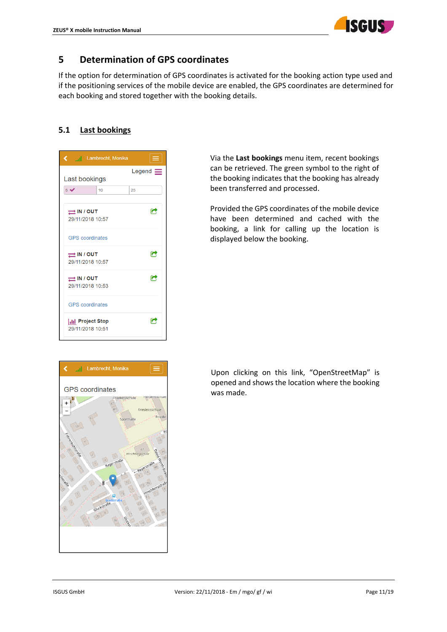

# **5 Determination of GPS coordinates**

If the option for determination of GPS coordinates is activated for the booking action type used and if the positioning services of the mobile device are enabled, the GPS coordinates are determined for each booking and stored together with the booking details.

## **5.1 Last bookings**

| ¢                                               |                        | uni Lambrecht, Monika | $\equiv$        |
|-------------------------------------------------|------------------------|-----------------------|-----------------|
|                                                 |                        |                       | Legend $\equiv$ |
| Last bookings                                   |                        |                       |                 |
| 5 <sup>2</sup>                                  |                        | 10                    | 25              |
|                                                 |                        |                       |                 |
| $\rightleftarrows$ IN / OUT                     |                        |                       | c               |
| 29/11/2018 10:57                                |                        |                       |                 |
|                                                 |                        |                       |                 |
|                                                 | <b>GPS</b> coordinates |                       |                 |
|                                                 |                        |                       |                 |
| $\rightleftarrows$ IN / OUT<br>29/11/2018 10:57 |                        |                       | a               |
|                                                 |                        |                       |                 |
| $\rightleftarrows$ IN / OUT                     |                        |                       | C               |
| 29/11/2018 10:53                                |                        |                       |                 |
|                                                 |                        |                       |                 |
|                                                 | <b>GPS</b> coordinates |                       |                 |
|                                                 |                        |                       |                 |
| <b>Ill</b> Project Stop                         |                        |                       | r               |
|                                                 | 29/11/2018 10:51       |                       |                 |
|                                                 |                        |                       |                 |

Via the **Last bookings** menu item, recent bookings can be retrieved. The green symbol to the right of the booking indicates that the booking has already been transferred and processed.

Provided the GPS coordinates of the mobile device have been determined and cached with the booking, a link for calling up the location is displayed below the booking.



Upon clicking on this link, "OpenStreetMap" is opened and shows the location where the booking was made.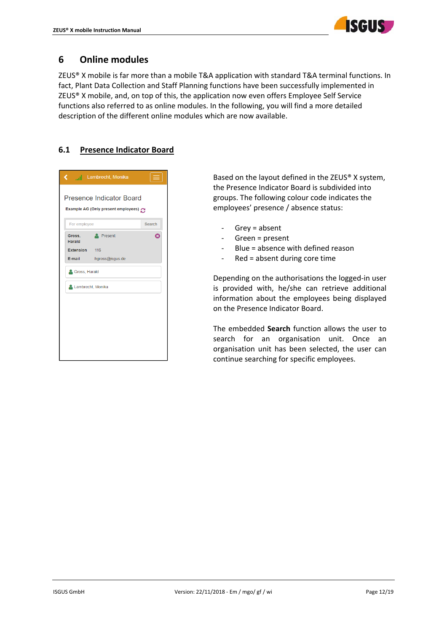

# **6 Online modules**

ZEUS® X mobile is far more than a mobile T&A application with standard T&A terminal functions. In fact, Plant Data Collection and Staff Planning functions have been successfully implemented in ZEUS® X mobile, and, on top of this, the application now even offers Employee Self Service functions also referred to as online modules. In the following, you will find a more detailed description of the different online modules which are now available.

## **6.1 Presence Indicator Board**

| ¢                 | <sub>an</sub> j Lambrecht, Monika                                      |        |
|-------------------|------------------------------------------------------------------------|--------|
|                   | <b>Presence Indicator Board</b><br>Example AG (Only present employees) |        |
| For employee      |                                                                        | Search |
| Gross,<br>Harald  | Present                                                                | Ω      |
| Extension 116     |                                                                        |        |
| E-mail            | hgross@isgus.de                                                        |        |
| Gross, Harald     |                                                                        |        |
| Lambrecht, Monika |                                                                        |        |
|                   |                                                                        |        |
|                   |                                                                        |        |
|                   |                                                                        |        |
|                   |                                                                        |        |
|                   |                                                                        |        |
|                   |                                                                        |        |
|                   |                                                                        |        |

Based on the layout defined in the ZEUS® X system, the Presence Indicator Board is subdivided into groups. The following colour code indicates the employees' presence / absence status:

- ‐ Grey = absent
- ‐ Green = present
- ‐ Blue = absence with defined reason
- ‐ Red = absent during core time

Depending on the authorisations the logged‐in user is provided with, he/she can retrieve additional information about the employees being displayed on the Presence Indicator Board.

The embedded **Search** function allows the user to search for an organisation unit. Once an organisation unit has been selected, the user can continue searching for specific employees.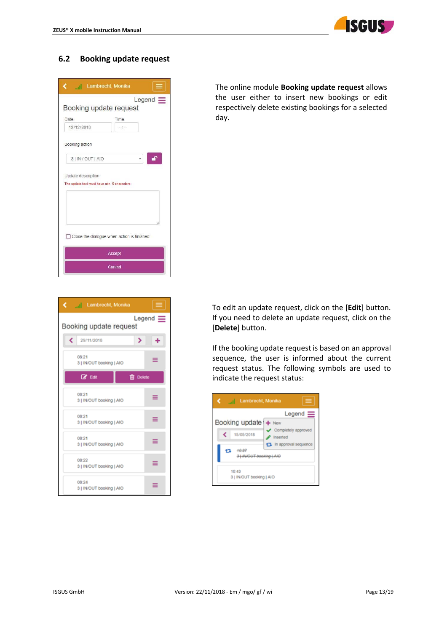

## **6.2 Booking update request**

| Lambrecht, Monika<br>c<br>الس                                      |
|--------------------------------------------------------------------|
| $Legend \equiv$                                                    |
| Booking update request                                             |
| <b>Date</b><br>Time                                                |
| 12/12/2018<br>$\sim$                                               |
| Booking action                                                     |
| ⊋<br>3   IN / OUT   AIO                                            |
| Update description<br>The update text must have min. 5 characters. |
| Close the dialogue when action is finished                         |
| <b>Accept</b>                                                      |
| Cancel                                                             |

The online module **Booking update request** allows the user either to insert new bookings or edit respectively delete existing bookings for a selected day.



To edit an update request, click on the [**Edit**] button. If you need to delete an update request, click on the [**Delete**] button.

If the booking update request is based on an approval sequence, the user is informed about the current request status. The following symbols are used to indicate the request status:

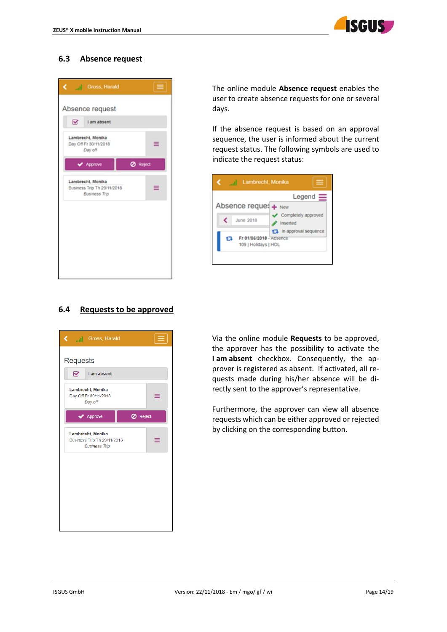

## **6.3 Absence request**

| Absence request<br>⊗<br>I am absent                                      |  |
|--------------------------------------------------------------------------|--|
|                                                                          |  |
|                                                                          |  |
| Lambrecht, Monika<br>Day Off Fr 30/11/2018<br>≡<br>Day off               |  |
| <b>Ø</b> Reject<br>Approve                                               |  |
| Lambrecht, Monika<br>Business Trip Th 29/11/2018<br><b>Business Trip</b> |  |
|                                                                          |  |
|                                                                          |  |
|                                                                          |  |
|                                                                          |  |

The online module **Absence request** enables the user to create absence requests for one or several days.

If the absence request is based on an approval sequence, the user is informed about the current request status. The following symbols are used to indicate the request status:



## **6.4 Requests to be approved**



Via the online module **Requests** to be approved, the approver has the possibility to activate the **I am absent** checkbox. Consequently, the ap‐ prover is registered as absent. If activated, all re‐ quests made during his/her absence will be di‐ rectly sent to the approver's representative.

Furthermore, the approver can view all absence requests which can be either approved or rejected by clicking on the corresponding button.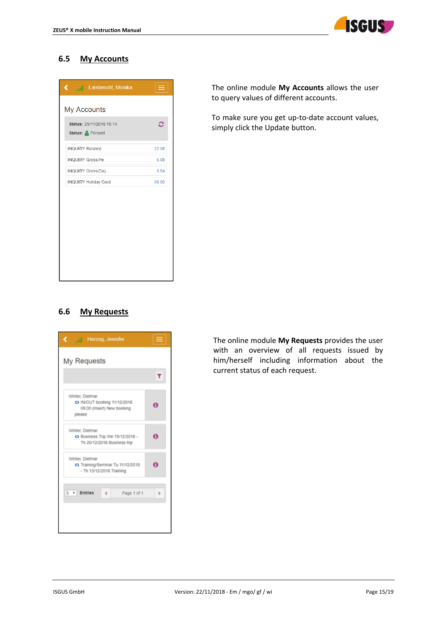

## **6.5 My Accounts**

| Status: 29/11/2018 16:14<br>Status: Present |       |
|---------------------------------------------|-------|
|                                             | c     |
| <b>INQUIRY Balance</b>                      | 22.08 |
| <b>INQUIRY Gross/Pe</b>                     | 6.08  |
| <b>INQUIRY Gross/Day</b>                    | 5.54  |
| <b>INQUIRY Holiday Cred</b>                 | 36.00 |

The online module **My Accounts** allows the user to query values of different accounts.

To make sure you get up-to-date account values, simply click the Update button.

## **6.6 My Requests**



The online module **My Requests** provides the user with an overview of all requests issued by him/herself including information about the current status of each request.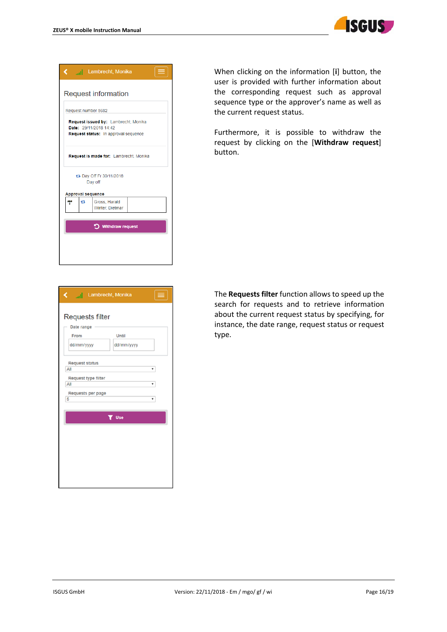

|   |    | <b>K</b> al Lambrecht, Monika                                                                          |  |
|---|----|--------------------------------------------------------------------------------------------------------|--|
|   |    | <b>Request information</b>                                                                             |  |
|   |    | Request number 5682                                                                                    |  |
|   |    | Request issued by: Lambrecht, Monika<br>Date: 29/11/2018 14:42<br>Request status: In approval sequence |  |
|   |    | Request is made for: Lambrecht, Monika                                                                 |  |
|   |    | t3 Day Off Fr 30/11/2018<br>Day off                                                                    |  |
|   |    | <b>Approval sequence</b>                                                                               |  |
| ᄣ | ł. | Gross, Harald<br>Winter, Dietmar                                                                       |  |
|   |    |                                                                                                        |  |
|   |    | D Withdraw request                                                                                     |  |
|   |    |                                                                                                        |  |
|   |    |                                                                                                        |  |
|   |    |                                                                                                        |  |

When clicking on the information [**i**] button, the user is provided with further information about the corresponding request such as approval sequence type or the approver's name as well as the current request status.

Furthermore, it is possible to withdraw the request by clicking on the [**Withdraw request**] button.

| ∢<br>  Lambrecht, Monika<br><b>Service Service</b>                                                                                                        |                          |
|-----------------------------------------------------------------------------------------------------------------------------------------------------------|--------------------------|
| <b>Requests filter</b><br>Date range<br>From<br>dd/mm/yyyy<br><b>Request status</b><br>All<br><b>Request type filter</b><br>All<br>Requests per page<br>5 | Until<br>dd/mm/yyyy<br>۰ |
|                                                                                                                                                           | <b>T</b> Use             |
|                                                                                                                                                           |                          |
|                                                                                                                                                           |                          |
|                                                                                                                                                           |                          |
|                                                                                                                                                           |                          |

The **Requests filter** function allows to speed up the search for requests and to retrieve information about the current request status by specifying, for instance, the date range, request status or request type.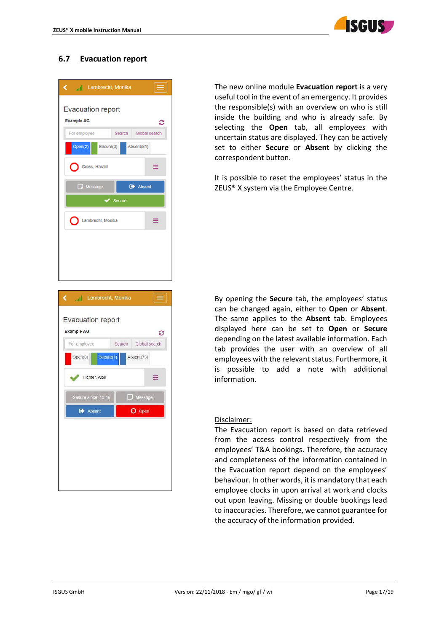

## **6.7 Evacuation report**

| ail Lambrecht, Monika<br>K.                                  |               |
|--------------------------------------------------------------|---------------|
| <b>Evacuation report</b><br><b>Example AG</b>                | з             |
| For employee<br>Search                                       | Global search |
| Open(2)<br>Absent(81)<br>Secure(0)                           |               |
| Gross, Harald                                                | ≡             |
| <b>E</b> Absent<br>$\Box$ Message                            |               |
| <b>Secure</b><br>✔                                           |               |
| Lambrecht, Monika                                            | ≡             |
|                                                              |               |
|                                                              |               |
|                                                              |               |
|                                                              |               |
|                                                              |               |
| Lambrecht, Monika<br>∢<br>h.                                 |               |
|                                                              |               |
| <b>Evacuation report</b>                                     |               |
| <b>Example AG</b>                                            | з             |
| For employee<br>Search<br>Open(8)<br>Secure(1)<br>Absent(73) | Global search |
|                                                              |               |
| Fichter, Axel                                                | ≡             |
| $\Box$ Message<br>Secure since: 10:46                        |               |
| O Open<br>Absent                                             |               |
|                                                              |               |
|                                                              |               |
|                                                              |               |
|                                                              |               |
|                                                              |               |

The new online module **Evacuation report** is a very useful tool in the event of an emergency. It provides the responsible(s) with an overview on who is still inside the building and who is already safe. By selecting the **Open** tab, all employees with uncertain status are displayed. They can be actively set to either **Secure** or **Absent** by clicking the correspondent button.

It is possible to reset the employees' status in the ZEUS® X system via the Employee Centre.

By opening the **Secure** tab, the employees' status can be changed again, either to **Open** or **Absent**. The same applies to the **Absent** tab. Employees displayed here can be set to **Open** or **Secure** depending on the latest available information. Each tab provides the user with an overview of all employees with the relevant status. Furthermore, it is possible to add a note with additional information.

#### Disclaimer:

The Evacuation report is based on data retrieved from the access control respectively from the employees' T&A bookings. Therefore, the accuracy and completeness of the information contained in the Evacuation report depend on the employees' behaviour. In other words, it is mandatory that each employee clocks in upon arrival at work and clocks out upon leaving. Missing or double bookings lead to inaccuracies. Therefore, we cannot guarantee for the accuracy of the information provided.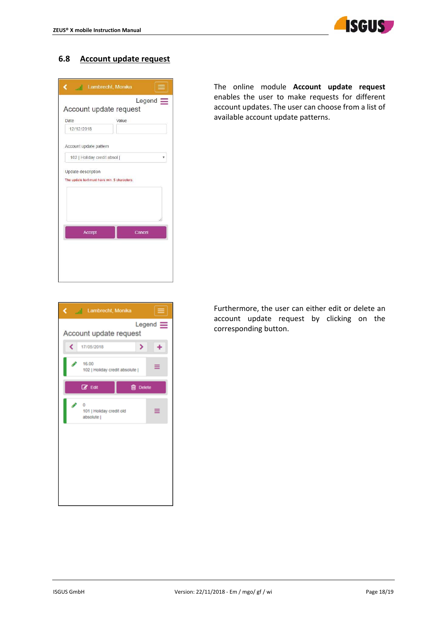

### **6.8 Account update request**

| <b>Lambrecht</b> , Monika                 |        |  |  |  |
|-------------------------------------------|--------|--|--|--|
| $Legend \equiv$<br>Account update request |        |  |  |  |
| Date                                      | Value. |  |  |  |
| 12/12/2018                                |        |  |  |  |
| Account update pattern                    |        |  |  |  |
| 102   Holiday credit absol                |        |  |  |  |
|                                           |        |  |  |  |
| Accept                                    | Cancel |  |  |  |
|                                           |        |  |  |  |
|                                           |        |  |  |  |
|                                           |        |  |  |  |

The online module **Account update request** enables the user to make requests for different account updates. The user can choose from a list of available account update patterns.



Furthermore, the user can either edit or delete an account update request by clicking on the corresponding button.